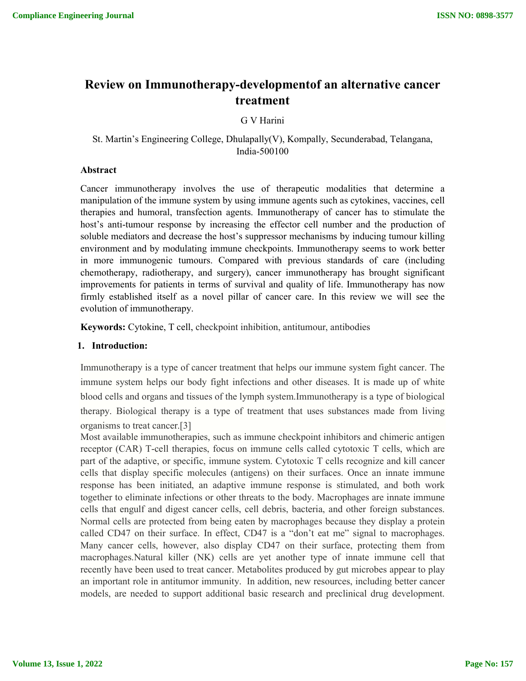# **Review on Immunotherapy-developmentof an alternative cancer treatment**

G V Harini

St. Martin's Engineering College, Dhulapally(V), Kompally, Secunderabad, Telangana, India-500100

### **Abstract**

Cancer immunotherapy involves the use of therapeutic modalities that determine a manipulation of the immune system by using immune agents such as cytokines, vaccines, cell therapies and humoral, transfection agents. Immunotherapy of cancer has to stimulate the host's anti-tumour response by increasing the effector cell number and the production of soluble mediators and decrease the host's suppressor mechanisms by inducing tumour killing environment and by modulating immune checkpoints. Immunotherapy seems to work better in more immunogenic tumours. Compared with previous standards of care (including chemotherapy, radiotherapy, and surgery), cancer immunotherapy has brought significant improvements for patients in terms of survival and quality of life. Immunotherapy has now firmly established itself as a novel pillar of cancer care. In this review we will see the evolution of immunotherapy.

**Keywords:** Cytokine, T cell, checkpoint inhibition, antitumour, antibodies

# **1. Introduction:**

Immunotherapy is a type of cancer treatment that helps our immune system fight cancer. The immune system helps our body fight infections and other diseases. It is made up of white blood cells and organs and tissues of the lymph system.Immunotherapy is a type of biological therapy. Biological therapy is a type of treatment that uses substances made from living organisms to treat cancer.[3]

Most available immunotherapies, such as immune checkpoint inhibitors and chimeric antigen receptor (CAR) T-cell therapies, focus on immune cells called cytotoxic T cells, which are part of the adaptive, or specific, immune system. Cytotoxic T cells recognize and kill cancer cells that display specific molecules (antigens) on their surfaces. Once an innate immune response has been initiated, an adaptive immune response is stimulated, and both work together to eliminate infections or other threats to the body. Macrophages are innate immune cells that engulf and digest cancer cells, cell debris, bacteria, and other foreign substances. Normal cells are protected from being eaten by macrophages because they display a protein called CD47 on their surface. In effect, CD47 is a "don't eat me" signal to macrophages. Many cancer cells, however, also display CD47 on their surface, protecting them from macrophages.Natural killer (NK) cells are yet another type of innate immune cell that recently have been used to treat cancer. Metabolites produced by gut microbes appear to play an important role in antitumor immunity. In addition, new resources, including better cancer models, are needed to support additional basic research and preclinical drug development.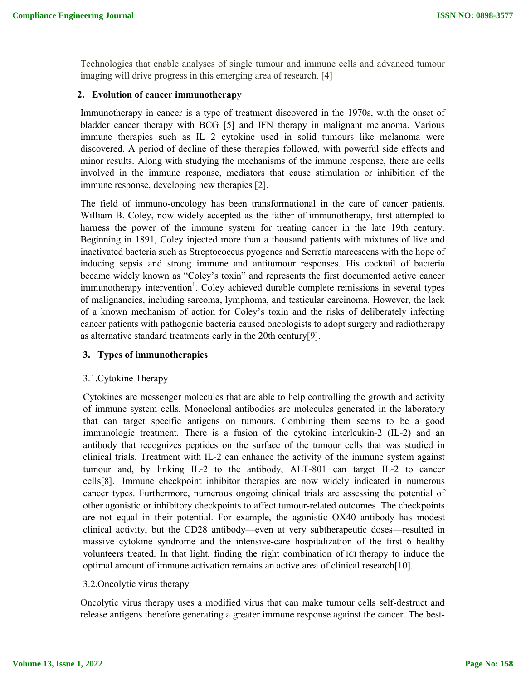Technologies that enable analyses of single tumour and immune cells and advanced tumour imaging will drive progress in this emerging area of research. [4]

## **2. Evolution of cancer immunotherapy**

Immunotherapy in cancer is a type of treatment discovered in the 1970s, with the onset of bladder cancer therapy with BCG [5] and IFN therapy in malignant melanoma. Various immune therapies such as IL 2 cytokine used in solid tumours like melanoma were discovered. A period of decline of these therapies followed, with powerful side effects and minor results. Along with studying the mechanisms of the immune response, there are cells involved in the immune response, mediators that cause stimulation or inhibition of the immune response, developing new therapies [2].

The field of immuno-oncology has been transformational in the care of cancer patients. William B. Coley, now widely accepted as the father of immunotherapy, first attempted to harness the power of the immune system for treating cancer in the late 19th century. Beginning in 1891, Coley injected more than a thousand patients with mixtures of live and inactivated bacteria such as Streptococcus pyogenes and Serratia marcescens with the hope of inducing sepsis and strong immune and antitumour responses. His cocktail of bacteria became widely known as "Coley's toxin" and represents the first documented active cancer immunotherapy intervention<sup>1</sup>. Coley achieved durable complete remissions in several types of malignancies, including sarcoma, lymphoma, and testicular carcinoma. However, the lack of a known mechanism of action for Coley's toxin and the risks of deliberately infecting cancer patients with pathogenic bacteria caused oncologists to adopt surgery and radiotherapy as alternative standard treatments early in the 20th century[9].

# **3. Types of immunotherapies**

#### 3.1.Cytokine Therapy

Cytokines are messenger molecules that are able to help controlling the growth and activity of immune system cells. Monoclonal antibodies are molecules generated in the laboratory that can target specific antigens on tumours. Combining them seems to be a good immunologic treatment. There is a fusion of the cytokine interleukin-2 (IL-2) and an antibody that recognizes peptides on the surface of the tumour cells that was studied in clinical trials. Treatment with IL-2 can enhance the activity of the immune system against tumour and, by linking IL-2 to the antibody, ALT-801 can target IL-2 to cancer cells[8]. Immune checkpoint inhibitor therapies are now widely indicated in numerous cancer types. Furthermore, numerous ongoing clinical trials are assessing the potential of other agonistic or inhibitory checkpoints to affect tumour-related outcomes. The checkpoints are not equal in their potential. For example, the agonistic OX40 antibody has modest clinical activity, but the CD28 antibody—even at very subtherapeutic doses—resulted in massive cytokine syndrome and the intensive-care hospitalization of the first 6 healthy volunteers treated. In that light, finding the right combination of ICI therapy to induce the optimal amount of immune activation remains an active area of clinical research[10].

# 3.2.Oncolytic virus therapy

Oncolytic virus therapy uses a modified virus that can make tumour cells self-destruct and release antigens therefore generating a greater immune response against the cancer. The best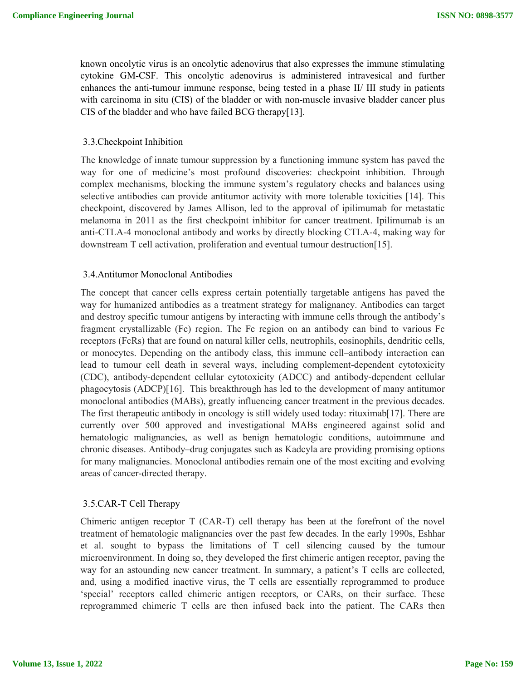known oncolytic virus is an oncolytic adenovirus that also expresses the immune stimulating cytokine GM-CSF. This oncolytic adenovirus is administered intravesical and further enhances the anti-tumour immune response, being tested in a phase II/ III study in patients with carcinoma in situ (CIS) of the bladder or with non-muscle invasive bladder cancer plus CIS of the bladder and who have failed BCG therapy[13].

#### 3.3.Checkpoint Inhibition

The knowledge of innate tumour suppression by a functioning immune system has paved the way for one of medicine's most profound discoveries: checkpoint inhibition. Through complex mechanisms, blocking the immune system's regulatory checks and balances using selective antibodies can provide antitumor activity with more tolerable toxicities [14]. This checkpoint, discovered by James Allison, led to the approval of ipilimumab for metastatic melanoma in 2011 as the first checkpoint inhibitor for cancer treatment. Ipilimumab is an anti-CTLA-4 monoclonal antibody and works by directly blocking CTLA-4, making way for downstream T cell activation, proliferation and eventual tumour destruction[15].

#### 3.4.Antitumor Monoclonal Antibodies

The concept that cancer cells express certain potentially targetable antigens has paved the way for humanized antibodies as a treatment strategy for malignancy. Antibodies can target and destroy specific tumour antigens by interacting with immune cells through the antibody's fragment crystallizable (Fc) region. The Fc region on an antibody can bind to various Fc receptors (FcRs) that are found on natural killer cells, neutrophils, eosinophils, dendritic cells, or monocytes. Depending on the antibody class, this immune cell–antibody interaction can lead to tumour cell death in several ways, including complement-dependent cytotoxicity (CDC), antibody-dependent cellular cytotoxicity (ADCC) and antibody-dependent cellular phagocytosis (ADCP)[16]. This breakthrough has led to the development of many antitumor monoclonal antibodies (MABs), greatly influencing cancer treatment in the previous decades. The first therapeutic antibody in oncology is still widely used today: rituximab[17]. There are currently over 500 approved and investigational MABs engineered against solid and hematologic malignancies, as well as benign hematologic conditions, autoimmune and chronic diseases. Antibody–drug conjugates such as Kadcyla are providing promising options for many malignancies. Monoclonal antibodies remain one of the most exciting and evolving areas of cancer-directed therapy.

#### 3.5.CAR-T Cell Therapy

Chimeric antigen receptor T (CAR-T) cell therapy has been at the forefront of the novel treatment of hematologic malignancies over the past few decades. In the early 1990s, Eshhar et al. sought to bypass the limitations of T cell silencing caused by the tumour microenvironment. In doing so, they developed the first chimeric antigen receptor, paving the way for an astounding new cancer treatment. In summary, a patient's T cells are collected, and, using a modified inactive virus, the T cells are essentially reprogrammed to produce 'special' receptors called chimeric antigen receptors, or CARs, on their surface. These reprogrammed chimeric T cells are then infused back into the patient. The CARs then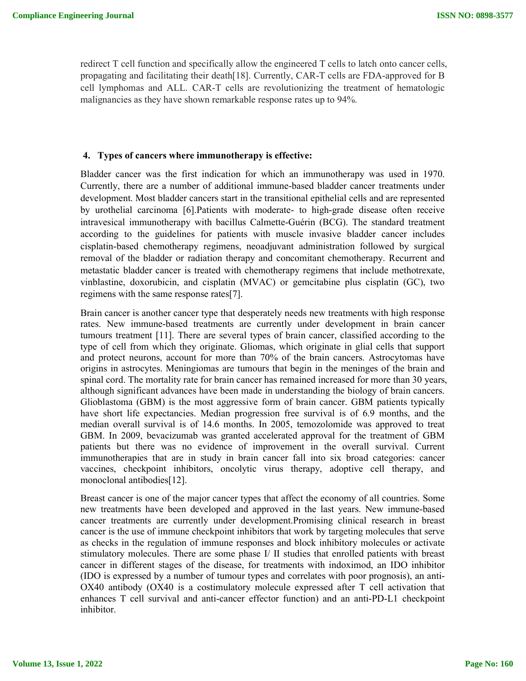redirect T cell function and specifically allow the engineered T cells to latch onto cancer cells, propagating and facilitating their death[18]. Currently, CAR-T cells are FDA-approved for B cell lymphomas and ALL. CAR-T cells are revolutionizing the treatment of hematologic malignancies as they have shown remarkable response rates up to 94%.

## **4. Types of cancers where immunotherapy is effective:**

Bladder cancer was the first indication for which an immunotherapy was used in 1970. Currently, there are a number of additional immune-based bladder cancer treatments under development. Most bladder cancers start in the transitional epithelial cells and are represented by urothelial carcinoma [6].Patients with moderate- to high-grade disease often receive intravesical immunotherapy with bacillus Calmette-Guérin (BCG). The standard treatment according to the guidelines for patients with muscle invasive bladder cancer includes cisplatin-based chemotherapy regimens, neoadjuvant administration followed by surgical removal of the bladder or radiation therapy and concomitant chemotherapy. Recurrent and metastatic bladder cancer is treated with chemotherapy regimens that include methotrexate, vinblastine, doxorubicin, and cisplatin (MVAC) or gemcitabine plus cisplatin (GC), two regimens with the same response rates[7].

Brain cancer is another cancer type that desperately needs new treatments with high response rates. New immune-based treatments are currently under development in brain cancer tumours treatment [11]. There are several types of brain cancer, classified according to the type of cell from which they originate. Gliomas, which originate in glial cells that support and protect neurons, account for more than 70% of the brain cancers. Astrocytomas have origins in astrocytes. Meningiomas are tumours that begin in the meninges of the brain and spinal cord. The mortality rate for brain cancer has remained increased for more than 30 years, although significant advances have been made in understanding the biology of brain cancers. Glioblastoma (GBM) is the most aggressive form of brain cancer. GBM patients typically have short life expectancies. Median progression free survival is of 6.9 months, and the median overall survival is of 14.6 months. In 2005, temozolomide was approved to treat GBM. In 2009, bevacizumab was granted accelerated approval for the treatment of GBM patients but there was no evidence of improvement in the overall survival. Current immunotherapies that are in study in brain cancer fall into six broad categories: cancer vaccines, checkpoint inhibitors, oncolytic virus therapy, adoptive cell therapy, and monoclonal antibodies[12].

Breast cancer is one of the major cancer types that affect the economy of all countries. Some new treatments have been developed and approved in the last years. New immune-based cancer treatments are currently under development.Promising clinical research in breast cancer is the use of immune checkpoint inhibitors that work by targeting molecules that serve as checks in the regulation of immune responses and block inhibitory molecules or activate stimulatory molecules. There are some phase I/ II studies that enrolled patients with breast cancer in different stages of the disease, for treatments with indoximod, an IDO inhibitor (IDO is expressed by a number of tumour types and correlates with poor prognosis), an anti-OX40 antibody (OX40 is a costimulatory molecule expressed after T cell activation that enhances T cell survival and anti-cancer effector function) and an anti-PD-L1 checkpoint inhibitor.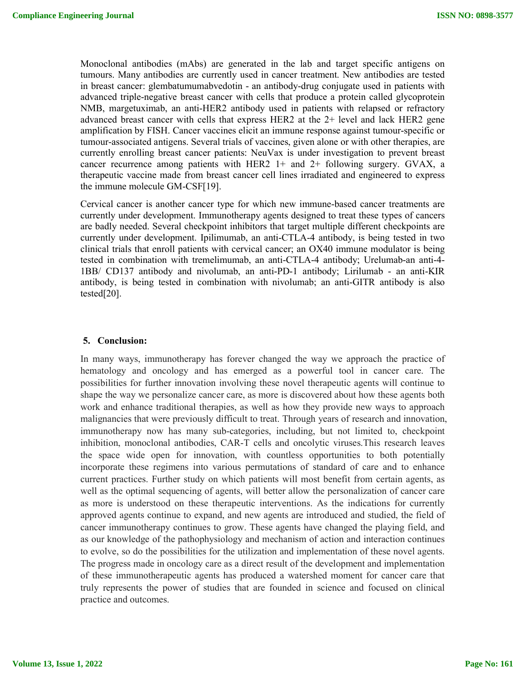Monoclonal antibodies (mAbs) are generated in the lab and target specific antigens on tumours. Many antibodies are currently used in cancer treatment. New antibodies are tested in breast cancer: glembatumumabvedotin - an antibody-drug conjugate used in patients with advanced triple-negative breast cancer with cells that produce a protein called glycoprotein NMB, margetuximab, an anti-HER2 antibody used in patients with relapsed or refractory advanced breast cancer with cells that express HER2 at the 2+ level and lack HER2 gene amplification by FISH. Cancer vaccines elicit an immune response against tumour-specific or tumour-associated antigens. Several trials of vaccines, given alone or with other therapies, are currently enrolling breast cancer patients: NeuVax is under investigation to prevent breast cancer recurrence among patients with HER2  $1+$  and  $2+$  following surgery. GVAX, a therapeutic vaccine made from breast cancer cell lines irradiated and engineered to express the immune molecule GM-CSF[19].

Cervical cancer is another cancer type for which new immune-based cancer treatments are currently under development. Immunotherapy agents designed to treat these types of cancers are badly needed. Several checkpoint inhibitors that target multiple different checkpoints are currently under development. Ipilimumab, an anti-CTLA-4 antibody, is being tested in two clinical trials that enroll patients with cervical cancer; an OX40 immune modulator is being tested in combination with tremelimumab, an anti-CTLA-4 antibody; Urelumab-an anti-4- 1BB/ CD137 antibody and nivolumab, an anti-PD-1 antibody; Lirilumab - an anti-KIR antibody, is being tested in combination with nivolumab; an anti-GITR antibody is also tested[20].

#### **5. Conclusion:**

In many ways, immunotherapy has forever changed the way we approach the practice of hematology and oncology and has emerged as a powerful tool in cancer care. The possibilities for further innovation involving these novel therapeutic agents will continue to shape the way we personalize cancer care, as more is discovered about how these agents both work and enhance traditional therapies, as well as how they provide new ways to approach malignancies that were previously difficult to treat. Through years of research and innovation, immunotherapy now has many sub-categories, including, but not limited to, checkpoint inhibition, monoclonal antibodies, CAR-T cells and oncolytic viruses.This research leaves the space wide open for innovation, with countless opportunities to both potentially incorporate these regimens into various permutations of standard of care and to enhance current practices. Further study on which patients will most benefit from certain agents, as well as the optimal sequencing of agents, will better allow the personalization of cancer care as more is understood on these therapeutic interventions. As the indications for currently approved agents continue to expand, and new agents are introduced and studied, the field of cancer immunotherapy continues to grow. These agents have changed the playing field, and as our knowledge of the pathophysiology and mechanism of action and interaction continues to evolve, so do the possibilities for the utilization and implementation of these novel agents. The progress made in oncology care as a direct result of the development and implementation of these immunotherapeutic agents has produced a watershed moment for cancer care that truly represents the power of studies that are founded in science and focused on clinical practice and outcomes.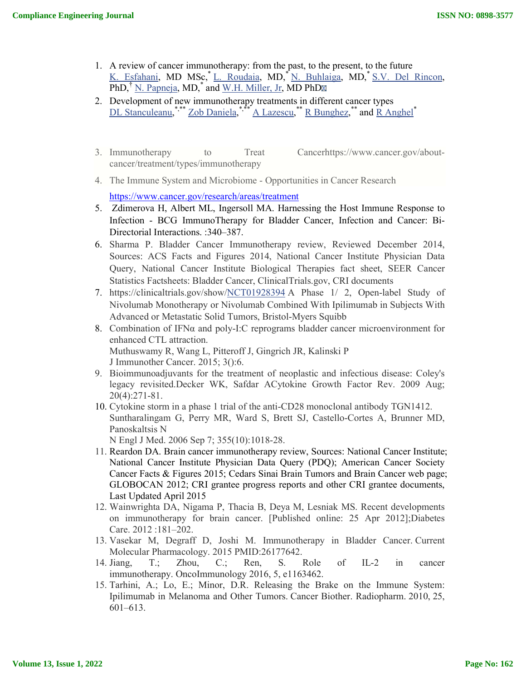- 1. A review of cancer immunotherapy: from the past, to the present, to the future K. Esfahani, MD MSc,\* L. Roudaia, MD,\* N. Buhlaiga, MD,\* S.V. Del Rincon, PhD,<sup>†</sup> N. Papneja, MD,<sup>\*</sup> and W.H. Miller, Jr, MD PhD<sub> $\overline{\mathbb{R}}$ </sub>
- 2. Development of new immunotherapy treatments in different cancer types DL Stanculeanu,<sup>\*,\*\*</sup> Zob Daniela,<sup>\*,\*\*\*</sup> A Lazescu,\*\* R Bunghez,\*\* and R Anghel<sup>\*</sup>
- 3. Immunotherapy to Treat Cancerhttps://www.cancer.gov/aboutcancer/treatment/types/immunotherapy
- 4. The Immune System and Microbiome Opportunities in Cancer Research

https://www.cancer.gov/research/areas/treatment

- 5. Zdimerova H, Albert ML, Ingersoll MA. Harnessing the Host Immune Response to Infection - BCG ImmunoTherapy for Bladder Cancer, Infection and Cancer: Bi-Directorial Interactions. :340–387.
- 6. Sharma P. Bladder Cancer Immunotherapy review, Reviewed December 2014, Sources: ACS Facts and Figures 2014, National Cancer Institute Physician Data Query, National Cancer Institute Biological Therapies fact sheet, SEER Cancer Statistics Factsheets: Bladder Cancer, ClinicalTrials.gov, CRI documents
- 7. https://clinicaltrials.gov/show/NCT01928394 A Phase 1/ 2, Open-label Study of Nivolumab Monotherapy or Nivolumab Combined With Ipilimumab in Subjects With Advanced or Metastatic Solid Tumors, Bristol-Myers Squibb
- 8. Combination of IFNα and poly-I:C reprograms bladder cancer microenvironment for enhanced CTL attraction. Muthuswamy R, Wang L, Pitteroff J, Gingrich JR, Kalinski P J Immunother Cancer. 2015; 3():6.
- 9. Bioimmunoadjuvants for the treatment of neoplastic and infectious disease: Coley's legacy revisited.Decker WK, Safdar ACytokine Growth Factor Rev. 2009 Aug; 20(4):271-81.
- 10. Cytokine storm in a phase 1 trial of the anti-CD28 monoclonal antibody TGN1412. Suntharalingam G, Perry MR, Ward S, Brett SJ, Castello-Cortes A, Brunner MD, Panoskaltsis N

N Engl J Med. 2006 Sep 7; 355(10):1018-28.

- 11. Reardon DA. Brain cancer immunotherapy review, Sources: National Cancer Institute; National Cancer Institute Physician Data Query (PDQ); American Cancer Society Cancer Facts & Figures 2015; Cedars Sinai Brain Tumors and Brain Cancer web page; GLOBOCAN 2012; CRI grantee progress reports and other CRI grantee documents, Last Updated April 2015
- 12. Wainwrighta DA, Nigama P, Thacia B, Deya M, Lesniak MS. Recent developments on immunotherapy for brain cancer. [Published online: 25 Apr 2012];Diabetes Care. 2012 :181–202.
- 13. Vasekar M, Degraff D, Joshi M. Immunotherapy in Bladder Cancer. Current Molecular Pharmacology. 2015 PMID:26177642.
- 14. Jiang, T.; Zhou, C.; Ren, S. Role of IL-2 in cancer immunotherapy. OncoImmunology 2016, 5, e1163462.
- 15. Tarhini, A.; Lo, E.; Minor, D.R. Releasing the Brake on the Immune System: Ipilimumab in Melanoma and Other Tumors. Cancer Biother. Radiopharm. 2010, 25, 601–613.